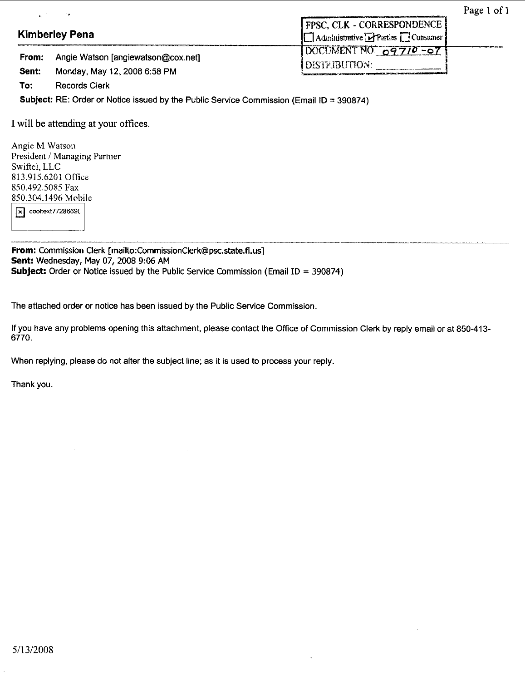|                |                                                                    | . .                                                               |
|----------------|--------------------------------------------------------------------|-------------------------------------------------------------------|
|                | <b>Kimberley Pena</b>                                              | I FPSC, CLK - CORRESPONDENCE  <br>Administrative Parties Consumer |
| From:<br>Sent: | Angie Watson [angiewatson@cox.net]<br>Monday, May 12, 2008 6:58 PM | DOCUMENT NO. 09710-07<br><b>I DISTRIBUTION:</b>                   |
| To:            | <b>Records Clerk</b>                                               |                                                                   |

**Subject: RE:** Order or Notice issued by the Public Service Commission (Email **ID** = 390874)

I will be attending at your **offices.** 

Angie M Watson President *i* Managing Partner Swiftel, LLC 813.915.6201 Office 850.492.5085 Fax 850.304.1496 Mobile

 $\sqrt{\mathbf{x}}$  cooltext77286690

**From:** Commission Clerk **[mailto:CommissionClerk@psc.state.fl.us] Sent:** Wednesday, **May** 07,2008 **9:06 AM Subject.** Order or Notice issued by the Public Service Commission (Email ID = 390874)

The attached order or notice has been issued by the Public Service Commission.

If you have any problems opening this attachment, please contact the Office *of* Commission Clerk by reply email or at 850413- 6770.

When replying, please do not alter the subject line; as it is used to process your reply

Thank you.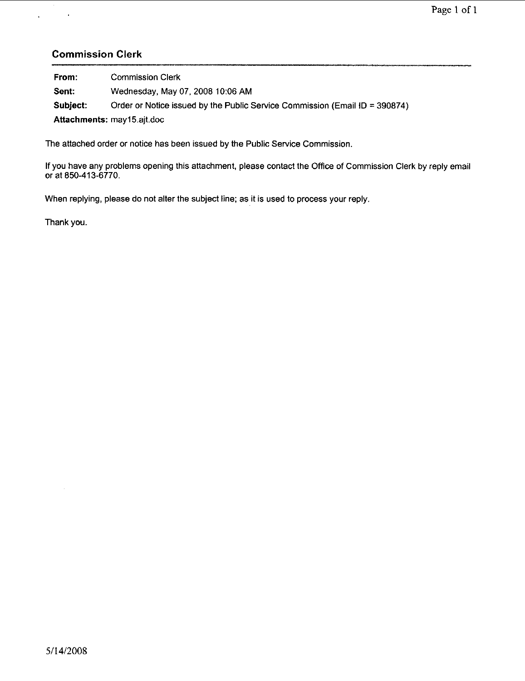## **Commission Clerk**

 $\mathcal{L}^{\text{max}}(\mathcal{A})$  ,  $\mathcal{A}^{\text{max}}$ 

| From:    | <b>Commission Clerk</b>                                                     |
|----------|-----------------------------------------------------------------------------|
| Sent:    | Wednesday, May 07, 2008 10:06 AM                                            |
| Subject: | Order or Notice issued by the Public Service Commission (Email ID = 390874) |
|          | Attachments: may15.ajt.doc                                                  |

The attached order or notice has been issued by the Public Service Commission.

If you have any problems opening this attachment, please contact the Office of Commission Clerk by reply email or at 850-413-6770.

When replying, please do not alter the subject line; as it is used to process your reply.

Thank you.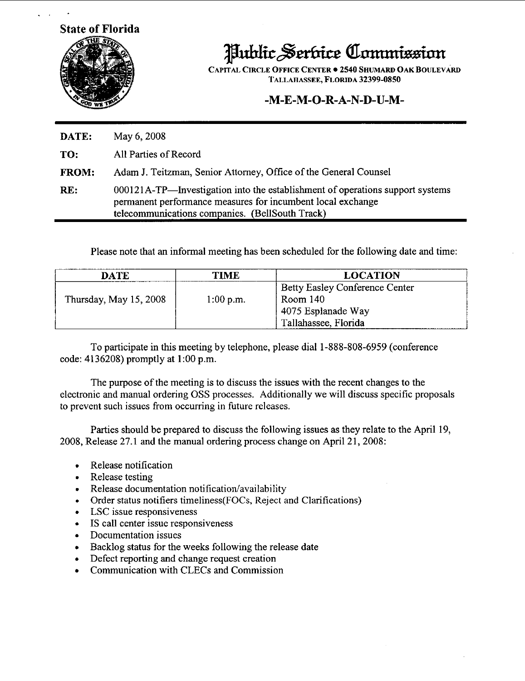**State of Florida** 



**Public Serbice Commission** 

**CAPITAL CIRCLE OFFICE CENTER 2540 SHUMARD OAK BOULEVARD TALLAHASSEE, FLORIDA 32399-0850** 

## **-M-E-M-0-R-A-N-D-U-M-**

**DATE:** May 6,2008 **TO:** All Parties of Record **FROM:**  RE: Adam J. Teitzman, Senior Attomey, Office of the General Counsel 000121A-TP-Investigation into the establishment of operations support systems permanent performance measures for incumbent local exchange telecommunications companies. (BellSouth Track)

Please note that an informal meeting has been scheduled for the following date and time:

| DATE                   | TIME        | LOCATION                       |  |
|------------------------|-------------|--------------------------------|--|
|                        |             | Betty Easley Conference Center |  |
| Thursday, May 15, 2008 | $1:00$ p.m. | Room 140                       |  |
|                        |             | 4075 Esplanade Way             |  |
|                        |             | Tallahassee, Florida           |  |

To participate in this meeting by telephone, please dial 1-888-808-6959 (conference code:  $4136208$ ) promptly at 1:00 p.m.

The purpose of the meeting is to discuss the issues with the recent changes to the electronic and manual ordering OSS processes. Additionally we will discuss specific proposals to prevent such issues from occurring in future releases.

Parties should be prepared to discuss the following issues as they relate to the April 19, 2008, Release 27.1 and the manual ordering process change on April 21, 2008:<br>• Release notification

- $\begin{matrix} 0 \\ 1 \end{matrix}$ Release notification
- . Release testing
- Release documentation notification/availability<br>
Order status notifiers timeliness(FOCs, Reject a
- .<br>. (<br>. <u>I</u> Order status notifiers timeliness(FOCs, Reject and Clarifications)
- LSC issue responsiveness
- Order status notifiers timeliness(FC<br>• LSC issue responsiveness<br>• IS call center issue responsiveness  $\begin{array}{c} \bullet \\ \bullet \\ \bullet \end{array}$
- Documentation issues
- . . Backlog status for the weeks following the release date
- .<br>. !<br>. ( Defect reporting and change request creation
- Communication with CLECs and Commission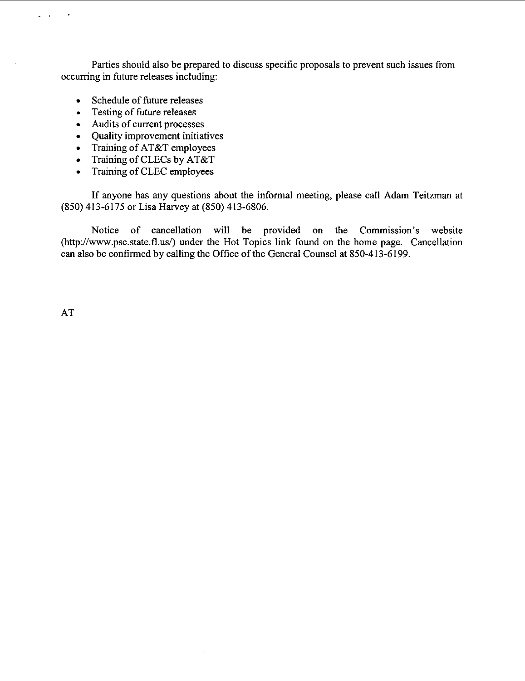Parties should also be prepared to discuss specific proposals to prevent such issues from occurring in future releases including:

- Schedule of future releases
- Schedule of future release<br>• Testing of future releases<br>• Audits of current processe
- Audits of current processes
- Quality improvement initiatives
- Training of AT&T employees  $\bullet$
- Training of CLECs by AT&T  $\bullet$
- Training **of** CLEC employees  $\bullet$

**If** anyone has any questions about the informal meeting, please call Adam Teitzman at **(850) 413-6175** or Lisa Harvey at **(850) 413-6806.** 

Notice **of** cancellation will be provided on the Commission's website (http://www.psc.state.fl.us/) under the Hot Topics link found on the home page. Cancellation can also be confirmed by calling the Office of the General Counsel at **850-413-6199.** 

AT

\_. .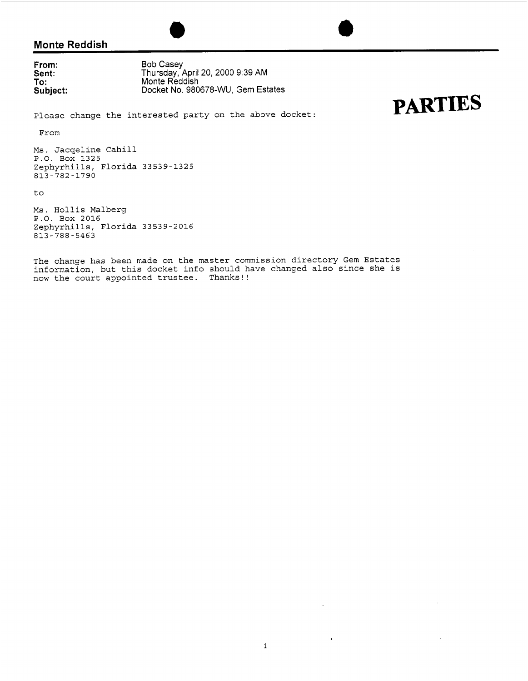## **Monte Reddish**

**From: Sent: To** : **Subject:** 

Bob Casey Thursday, April 20, 2000 9:39 AM Monte Reddish Docket No. 980678-WU, Gem Estates

**PARTIES** 

#### Please change the interested party on the above docket:

From

**Ms.** Jacqeline Cahill P.O. **Box 1325**  Zephyrhills, Florida **33539-1325 813-782-1790** 

to

**Ms.** Hollis Malberg P.O. Box **2016**  Zephyrhills, Florida **33539-2016 813-788-5463** 

The change has been made on the master commission directory Gem Estates information, but this docket info should have changed also since she is now the court appointed trustee. Thanks!!

 $\alpha$ 

 $\bar{z}$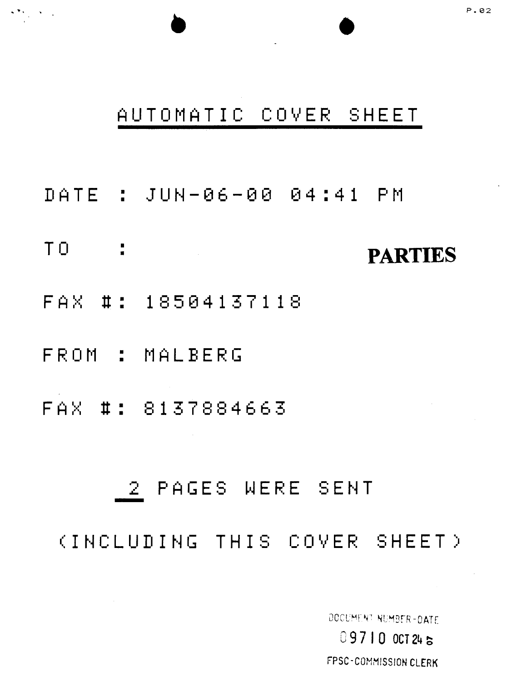# FPSC-COMMISSION CLERK

DOCUMENT NUMBER-DATE 09710 OCT 245

# (INCLUDING THIS COVER SHEET)

# 2 PAGES WERE SENT

FAX #: 3137834663

FROM : MALBERG

FAX #: 18504137118

TO : **PARTIES** 

DATE ' **w** JUN-06-80 84:41 P ri